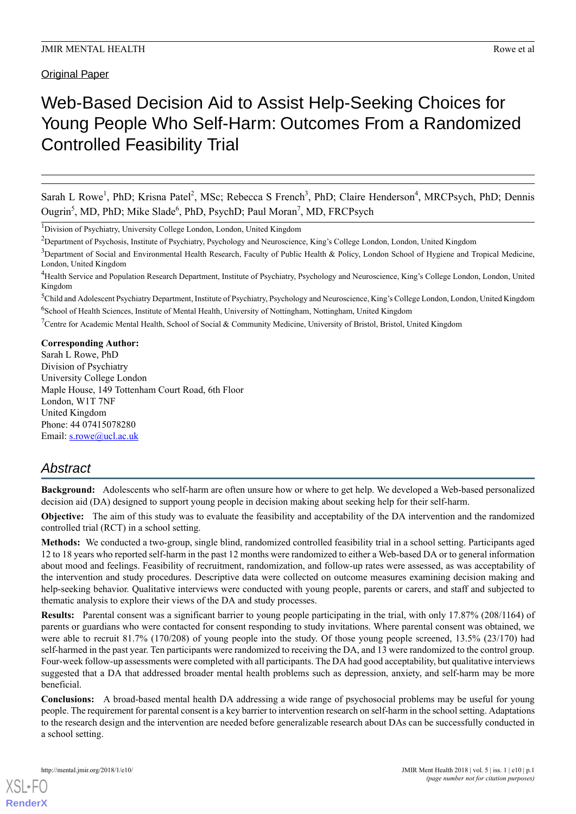Original Paper

# Web-Based Decision Aid to Assist Help-Seeking Choices for Young People Who Self-Harm: Outcomes From a Randomized Controlled Feasibility Trial

Sarah L Rowe<sup>1</sup>, PhD; Krisna Patel<sup>2</sup>, MSc; Rebecca S French<sup>3</sup>, PhD; Claire Henderson<sup>4</sup>, MRCPsych, PhD; Dennis Ougrin<sup>5</sup>, MD, PhD; Mike Slade<sup>6</sup>, PhD, PsychD; Paul Moran<sup>7</sup>, MD, FRCPsych

<sup>1</sup>Division of Psychiatry, University College London, London, United Kingdom

<sup>2</sup>Department of Psychosis, Institute of Psychiatry, Psychology and Neuroscience, King's College London, London, United Kingdom

 $3$ Department of Social and Environmental Health Research, Faculty of Public Health & Policy, London School of Hygiene and Tropical Medicine, London, United Kingdom

<sup>5</sup>Child and Adolescent Psychiatry Department, Institute of Psychiatry, Psychology and Neuroscience, King's College London, London, United Kingdom <sup>6</sup>School of Health Sciences, Institute of Mental Health, University of Nottingham, Nottingham, United Kingdom

<sup>7</sup>Centre for Academic Mental Health, School of Social & Community Medicine, University of Bristol, Bristol, United Kingdom

## **Corresponding Author:**

Sarah L Rowe, PhD Division of Psychiatry University College London Maple House, 149 Tottenham Court Road, 6th Floor London, W1T 7NF United Kingdom Phone: 44 07415078280 Email: [s.rowe@ucl.ac.uk](mailto:s.rowe@ucl.ac.uk)

# *Abstract*

**Background:** Adolescents who self-harm are often unsure how or where to get help. We developed a Web-based personalized decision aid (DA) designed to support young people in decision making about seeking help for their self-harm.

**Objective:** The aim of this study was to evaluate the feasibility and acceptability of the DA intervention and the randomized controlled trial (RCT) in a school setting.

**Methods:** We conducted a two-group, single blind, randomized controlled feasibility trial in a school setting. Participants aged 12 to 18 years who reported self-harm in the past 12 months were randomized to either a Web-based DA or to general information about mood and feelings. Feasibility of recruitment, randomization, and follow-up rates were assessed, as was acceptability of the intervention and study procedures. Descriptive data were collected on outcome measures examining decision making and help-seeking behavior. Qualitative interviews were conducted with young people, parents or carers, and staff and subjected to thematic analysis to explore their views of the DA and study processes.

**Results:** Parental consent was a significant barrier to young people participating in the trial, with only 17.87% (208/1164) of parents or guardians who were contacted for consent responding to study invitations. Where parental consent was obtained, we were able to recruit 81.7% (170/208) of young people into the study. Of those young people screened, 13.5% (23/170) had self-harmed in the past year. Ten participants were randomized to receiving the DA, and 13 were randomized to the control group. Four-week follow-up assessments were completed with all participants. The DA had good acceptability, but qualitative interviews suggested that a DA that addressed broader mental health problems such as depression, anxiety, and self-harm may be more beneficial.

**Conclusions:** A broad-based mental health DA addressing a wide range of psychosocial problems may be useful for young people. The requirement for parental consent is a key barrier to intervention research on self-harm in the school setting. Adaptations to the research design and the intervention are needed before generalizable research about DAs can be successfully conducted in a school setting.

[XSL](http://www.w3.org/Style/XSL)•FO **[RenderX](http://www.renderx.com/)**

<sup>&</sup>lt;sup>4</sup>Health Service and Population Research Department, Institute of Psychiatry, Psychology and Neuroscience, King's College London, London, United Kingdom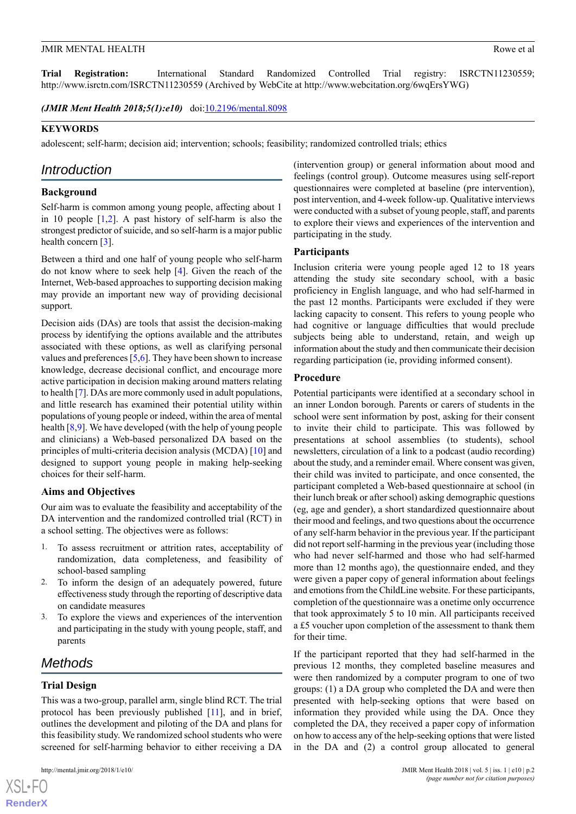**Trial Registration:** International Standard Randomized Controlled Trial registry: ISRCTN11230559; http://www.isrctn.com/ISRCTN11230559 (Archived by WebCite at http://www.webcitation.org/6wqErsYWG)

*(JMIR Ment Health 2018;5(1):e10)* doi:*[10.2196/mental.8098](http://dx.doi.org/10.2196/mental.8098)* 

#### **KEYWORDS**

adolescent; self-harm; decision aid; intervention; schools; feasibility; randomized controlled trials; ethics

## *Introduction*

#### **Background**

Self-harm is common among young people, affecting about 1 in 10 people [\[1](#page-10-0),[2](#page-10-1)]. A past history of self-harm is also the strongest predictor of suicide, and so self-harm is a major public health concern [[3\]](#page-10-2).

Between a third and one half of young people who self-harm do not know where to seek help [[4\]](#page-10-3). Given the reach of the Internet, Web-based approaches to supporting decision making may provide an important new way of providing decisional support.

Decision aids (DAs) are tools that assist the decision-making process by identifying the options available and the attributes associated with these options, as well as clarifying personal values and preferences [\[5](#page-10-4),[6\]](#page-10-5). They have been shown to increase knowledge, decrease decisional conflict, and encourage more active participation in decision making around matters relating to health [\[7\]](#page-10-6). DAs are more commonly used in adult populations, and little research has examined their potential utility within populations of young people or indeed, within the area of mental health [\[8](#page-10-7),[9\]](#page-10-8). We have developed (with the help of young people and clinicians) a Web-based personalized DA based on the principles of multi-criteria decision analysis (MCDA) [[10\]](#page-10-9) and designed to support young people in making help-seeking choices for their self-harm.

## **Aims and Objectives**

Our aim was to evaluate the feasibility and acceptability of the DA intervention and the randomized controlled trial (RCT) in a school setting. The objectives were as follows:

- 1. To assess recruitment or attrition rates, acceptability of randomization, data completeness, and feasibility of school-based sampling
- 2. To inform the design of an adequately powered, future effectiveness study through the reporting of descriptive data on candidate measures
- 3. To explore the views and experiences of the intervention and participating in the study with young people, staff, and parents

# *Methods*

#### **Trial Design**

[XSL](http://www.w3.org/Style/XSL)•FO **[RenderX](http://www.renderx.com/)**

This was a two-group, parallel arm, single blind RCT. The trial protocol has been previously published [[11](#page-10-10)], and in brief, outlines the development and piloting of the DA and plans for this feasibility study. We randomized school students who were screened for self-harming behavior to either receiving a DA

(intervention group) or general information about mood and feelings (control group). Outcome measures using self-report questionnaires were completed at baseline (pre intervention), post intervention, and 4-week follow-up. Qualitative interviews were conducted with a subset of young people, staff, and parents to explore their views and experiences of the intervention and participating in the study.

#### **Participants**

Inclusion criteria were young people aged 12 to 18 years attending the study site secondary school, with a basic proficiency in English language, and who had self-harmed in the past 12 months. Participants were excluded if they were lacking capacity to consent. This refers to young people who had cognitive or language difficulties that would preclude subjects being able to understand, retain, and weigh up information about the study and then communicate their decision regarding participation (ie, providing informed consent).

## **Procedure**

Potential participants were identified at a secondary school in an inner London borough. Parents or carers of students in the school were sent information by post, asking for their consent to invite their child to participate. This was followed by presentations at school assemblies (to students), school newsletters, circulation of a link to a podcast (audio recording) about the study, and a reminder email. Where consent was given, their child was invited to participate, and once consented, the participant completed a Web-based questionnaire at school (in their lunch break or after school) asking demographic questions (eg, age and gender), a short standardized questionnaire about their mood and feelings, and two questions about the occurrence of any self-harm behavior in the previous year. If the participant did not report self-harming in the previous year (including those who had never self-harmed and those who had self-harmed more than 12 months ago), the questionnaire ended, and they were given a paper copy of general information about feelings and emotions from the ChildLine website. For these participants, completion of the questionnaire was a onetime only occurrence that took approximately 5 to 10 min. All participants received a £5 voucher upon completion of the assessment to thank them for their time.

If the participant reported that they had self-harmed in the previous 12 months, they completed baseline measures and were then randomized by a computer program to one of two groups: (1) a DA group who completed the DA and were then presented with help-seeking options that were based on information they provided while using the DA. Once they completed the DA, they received a paper copy of information on how to access any of the help-seeking options that were listed in the DA and (2) a control group allocated to general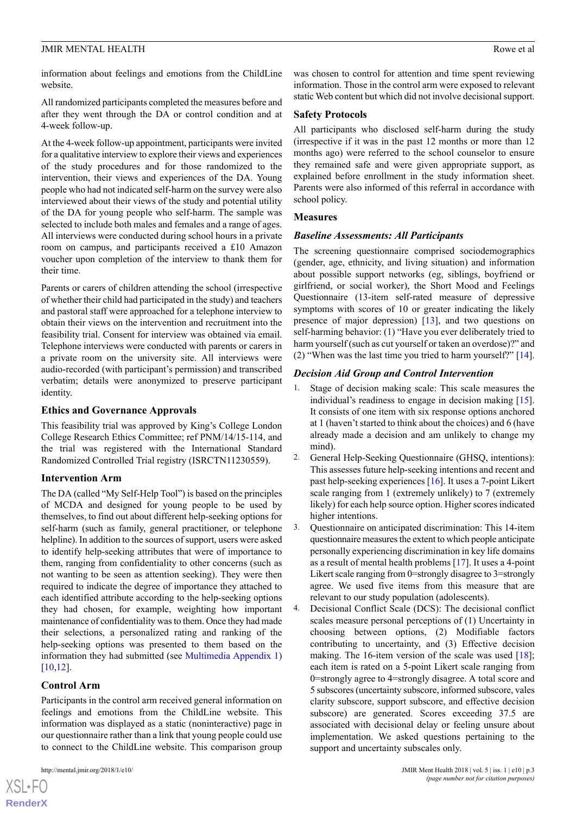information about feelings and emotions from the ChildLine website.

All randomized participants completed the measures before and after they went through the DA or control condition and at 4-week follow-up.

At the 4-week follow-up appointment, participants were invited for a qualitative interview to explore their views and experiences of the study procedures and for those randomized to the intervention, their views and experiences of the DA. Young people who had not indicated self-harm on the survey were also interviewed about their views of the study and potential utility of the DA for young people who self-harm. The sample was selected to include both males and females and a range of ages. All interviews were conducted during school hours in a private room on campus, and participants received a £10 Amazon voucher upon completion of the interview to thank them for their time.

Parents or carers of children attending the school (irrespective of whether their child had participated in the study) and teachers and pastoral staff were approached for a telephone interview to obtain their views on the intervention and recruitment into the feasibility trial. Consent for interview was obtained via email. Telephone interviews were conducted with parents or carers in a private room on the university site. All interviews were audio-recorded (with participant's permission) and transcribed verbatim; details were anonymized to preserve participant identity.

## **Ethics and Governance Approvals**

This feasibility trial was approved by King's College London College Research Ethics Committee; ref PNM/14/15-114, and the trial was registered with the International Standard Randomized Controlled Trial registry (ISRCTN11230559).

# **Intervention Arm**

The DA (called "My Self-Help Tool") is based on the principles of MCDA and designed for young people to be used by themselves, to find out about different help-seeking options for self-harm (such as family, general practitioner, or telephone helpline). In addition to the sources of support, users were asked to identify help-seeking attributes that were of importance to them, ranging from confidentiality to other concerns (such as not wanting to be seen as attention seeking). They were then required to indicate the degree of importance they attached to each identified attribute according to the help-seeking options they had chosen, for example, weighting how important maintenance of confidentiality was to them. Once they had made their selections, a personalized rating and ranking of the help-seeking options was presented to them based on the information they had submitted (see [Multimedia Appendix 1](#page-10-11)) [[10](#page-10-9)[,12](#page-10-12)].

# **Control Arm**

 $XSI - F($ **[RenderX](http://www.renderx.com/)**

Participants in the control arm received general information on feelings and emotions from the ChildLine website. This information was displayed as a static (noninteractive) page in our questionnaire rather than a link that young people could use to connect to the ChildLine website. This comparison group

## **Safety Protocols**

All participants who disclosed self-harm during the study (irrespective if it was in the past 12 months or more than 12 months ago) were referred to the school counselor to ensure they remained safe and were given appropriate support, as explained before enrollment in the study information sheet. Parents were also informed of this referral in accordance with school policy.

## **Measures**

# *Baseline Assessments: All Participants*

The screening questionnaire comprised sociodemographics (gender, age, ethnicity, and living situation) and information about possible support networks (eg, siblings, boyfriend or girlfriend, or social worker), the Short Mood and Feelings Questionnaire (13-item self-rated measure of depressive symptoms with scores of 10 or greater indicating the likely presence of major depression) [[13\]](#page-10-13), and two questions on self-harming behavior: (1) "Have you ever deliberately tried to harm yourself (such as cut yourself or taken an overdose)?" and (2) "When was the last time you tried to harm yourself?" [[14\]](#page-10-14).

## *Decision Aid Group and Control Intervention*

- Stage of decision making scale: This scale measures the individual's readiness to engage in decision making [[15\]](#page-10-15). It consists of one item with six response options anchored at 1 (haven't started to think about the choices) and 6 (have already made a decision and am unlikely to change my mind).
- 2. General Help-Seeking Questionnaire (GHSQ, intentions): This assesses future help-seeking intentions and recent and past help-seeking experiences [[16\]](#page-10-16). It uses a 7-point Likert scale ranging from 1 (extremely unlikely) to 7 (extremely likely) for each help source option. Higher scores indicated higher intentions.
- 3. Questionnaire on anticipated discrimination: This 14-item questionnaire measures the extent to which people anticipate personally experiencing discrimination in key life domains as a result of mental health problems [[17\]](#page-10-17). It uses a 4-point Likert scale ranging from 0=strongly disagree to 3=strongly agree. We used five items from this measure that are relevant to our study population (adolescents).
- 4. Decisional Conflict Scale (DCS): The decisional conflict scales measure personal perceptions of (1) Uncertainty in choosing between options, (2) Modifiable factors contributing to uncertainty, and (3) Effective decision making. The 16-item version of the scale was used  $[18]$  $[18]$ ; each item is rated on a 5-point Likert scale ranging from 0=strongly agree to 4=strongly disagree. A total score and 5 subscores (uncertainty subscore, informed subscore, vales clarity subscore, support subscore, and effective decision subscore) are generated. Scores exceeding 37.5 are associated with decisional delay or feeling unsure about implementation. We asked questions pertaining to the support and uncertainty subscales only.

*(page number not for citation purposes)*

# JMIR MENTAL HEALTH ROWERS AND ROWER AND ROWER ALL THE ROWER AND ROWER AT THE ROWER ASSESSMENT ROWER AND ROWER AND ROWER ASSESSMENT ROWER AND ROWER ASSESSMENT ROWER ASSESSMENT ROWER AND ROWER ASSESSMENT ROWER AND ROWER ASSE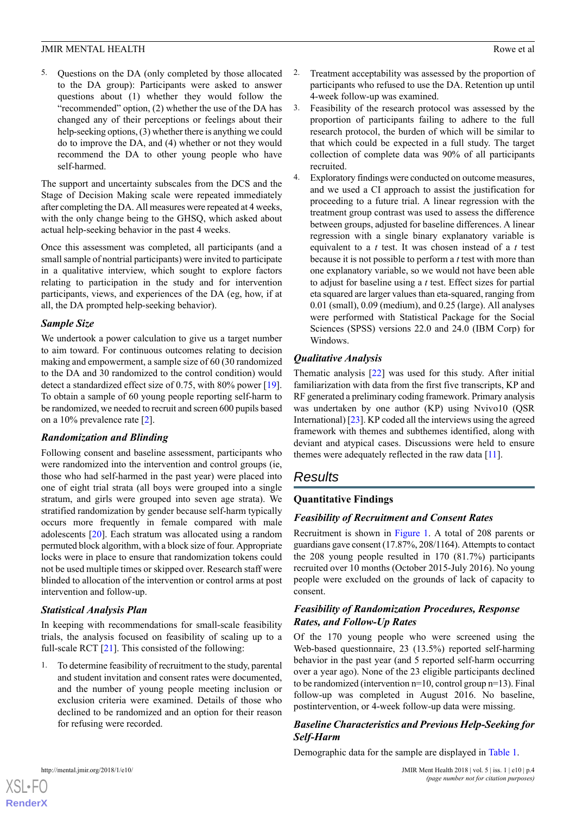5. Questions on the DA (only completed by those allocated to the DA group): Participants were asked to answer questions about (1) whether they would follow the "recommended" option, (2) whether the use of the DA has changed any of their perceptions or feelings about their help-seeking options, (3) whether there is anything we could do to improve the DA, and (4) whether or not they would recommend the DA to other young people who have self-harmed.

The support and uncertainty subscales from the DCS and the Stage of Decision Making scale were repeated immediately after completing the DA. All measures were repeated at 4 weeks, with the only change being to the GHSQ, which asked about actual help-seeking behavior in the past 4 weeks.

Once this assessment was completed, all participants (and a small sample of nontrial participants) were invited to participate in a qualitative interview, which sought to explore factors relating to participation in the study and for intervention participants, views, and experiences of the DA (eg, how, if at all, the DA prompted help-seeking behavior).

## *Sample Size*

We undertook a power calculation to give us a target number to aim toward. For continuous outcomes relating to decision making and empowerment, a sample size of 60 (30 randomized to the DA and 30 randomized to the control condition) would detect a standardized effect size of 0.75, with 80% power [[19\]](#page-11-0). To obtain a sample of 60 young people reporting self-harm to be randomized, we needed to recruit and screen 600 pupils based on a 10% prevalence rate [\[2](#page-10-1)].

# *Randomization and Blinding*

Following consent and baseline assessment, participants who were randomized into the intervention and control groups (ie, those who had self-harmed in the past year) were placed into one of eight trial strata (all boys were grouped into a single stratum, and girls were grouped into seven age strata). We stratified randomization by gender because self-harm typically occurs more frequently in female compared with male adolescents [\[20](#page-11-1)]. Each stratum was allocated using a random permuted block algorithm, with a block size of four. Appropriate locks were in place to ensure that randomization tokens could not be used multiple times or skipped over. Research staff were blinded to allocation of the intervention or control arms at post intervention and follow-up.

# *Statistical Analysis Plan*

In keeping with recommendations for small-scale feasibility trials, the analysis focused on feasibility of scaling up to a full-scale RCT [\[21](#page-11-2)]. This consisted of the following:

1. To determine feasibility of recruitment to the study, parental and student invitation and consent rates were documented, and the number of young people meeting inclusion or exclusion criteria were examined. Details of those who declined to be randomized and an option for their reason for refusing were recorded.

- 2. Treatment acceptability was assessed by the proportion of participants who refused to use the DA. Retention up until 4-week follow-up was examined.
- 3. Feasibility of the research protocol was assessed by the proportion of participants failing to adhere to the full research protocol, the burden of which will be similar to that which could be expected in a full study. The target collection of complete data was 90% of all participants recruited.
- 4. Exploratory findings were conducted on outcome measures, and we used a CI approach to assist the justification for proceeding to a future trial. A linear regression with the treatment group contrast was used to assess the difference between groups, adjusted for baseline differences. A linear regression with a single binary explanatory variable is equivalent to a *t* test. It was chosen instead of a *t* test because it is not possible to perform a *t* test with more than one explanatory variable, so we would not have been able to adjust for baseline using a *t* test. Effect sizes for partial eta squared are larger values than eta-squared, ranging from 0.01 (small), 0.09 (medium), and 0.25 (large). All analyses were performed with Statistical Package for the Social Sciences (SPSS) versions 22.0 and 24.0 (IBM Corp) for Windows.

# *Qualitative Analysis*

Thematic analysis [[22\]](#page-11-3) was used for this study. After initial familiarization with data from the first five transcripts, KP and RF generated a preliminary coding framework. Primary analysis was undertaken by one author (KP) using Nvivo10 (QSR International) [\[23](#page-11-4)]. KP coded all the interviews using the agreed framework with themes and subthemes identified, along with deviant and atypical cases. Discussions were held to ensure themes were adequately reflected in the raw data [\[11](#page-10-10)].

# *Results*

# **Quantitative Findings**

# *Feasibility of Recruitment and Consent Rates*

Recruitment is shown in [Figure 1.](#page-4-0) A total of 208 parents or guardians gave consent (17.87%, 208/1164). Attempts to contact the 208 young people resulted in 170 (81.7%) participants recruited over 10 months (October 2015-July 2016). No young people were excluded on the grounds of lack of capacity to consent.

# *Feasibility of Randomization Procedures, Response Rates, and Follow-Up Rates*

Of the 170 young people who were screened using the Web-based questionnaire, 23 (13.5%) reported self-harming behavior in the past year (and 5 reported self-harm occurring over a year ago). None of the 23 eligible participants declined to be randomized (intervention n=10, control group n=13). Final follow-up was completed in August 2016. No baseline, postintervention, or 4-week follow-up data were missing.

# *Baseline Characteristics and Previous Help-Seeking for Self-Harm*

Demographic data for the sample are displayed in [Table 1.](#page-5-0)

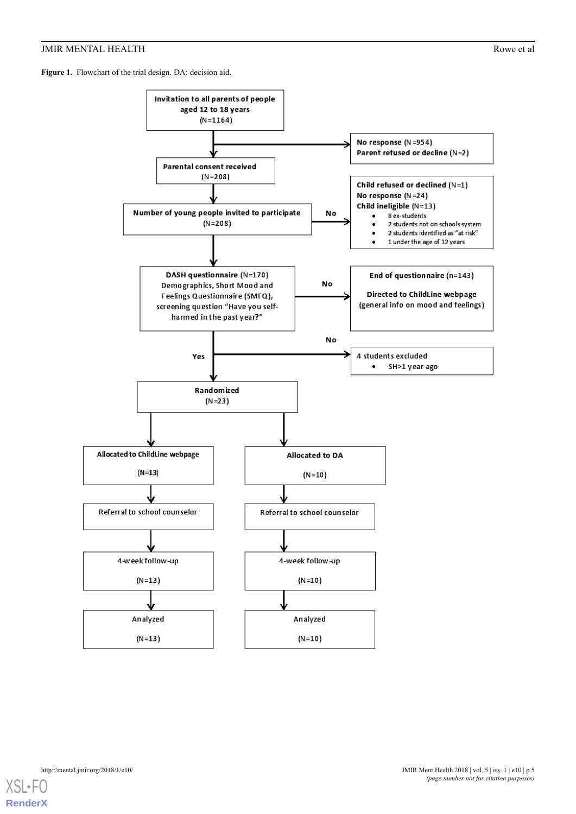## JMIR MENTAL HEALTH Rowe et al.

<span id="page-4-0"></span>Figure 1. Flowchart of the trial design. DA: decision aid.



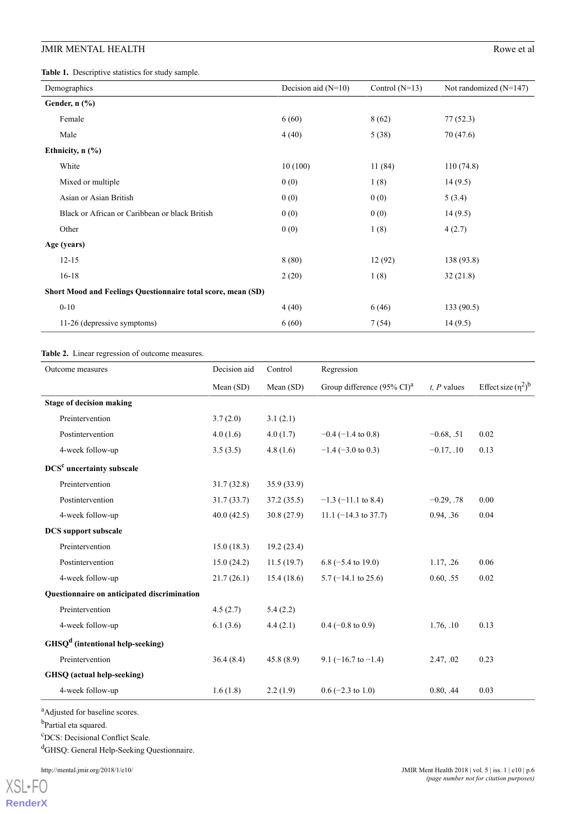## JMIR MENTAL HEALTH

<span id="page-5-0"></span>**Table 1.** Descriptive statistics for study sample.

| Demographics                                                 | Decision aid $(N=10)$ | Control $(N=13)$ | Not randomized $(N=147)$ |
|--------------------------------------------------------------|-----------------------|------------------|--------------------------|
| Gender, $n$ $(\%)$                                           |                       |                  |                          |
| Female                                                       | 6(60)                 | 8(62)            | 77(52.3)                 |
| Male                                                         | 4(40)                 | 5(38)            | 70(47.6)                 |
| Ethnicity, $n$ (%)                                           |                       |                  |                          |
| White                                                        | 10(100)               | 11(84)           | 110(74.8)                |
| Mixed or multiple                                            | 0(0)                  | 1(8)             | 14(9.5)                  |
| Asian or Asian British                                       | 0(0)                  | 0(0)             | 5(3.4)                   |
| Black or African or Caribbean or black British               | 0(0)                  | 0(0)             | 14(9.5)                  |
| Other                                                        | 0(0)                  | 1(8)             | 4(2.7)                   |
| Age (years)                                                  |                       |                  |                          |
| $12 - 15$                                                    | 8(80)                 | 12(92)           | 138 (93.8)               |
| $16 - 18$                                                    | 2(20)                 | 1(8)             | 32(21.8)                 |
| Short Mood and Feelings Questionnaire total score, mean (SD) |                       |                  |                          |
| $0 - 10$                                                     | 4(40)                 | 6(46)            | 133(90.5)                |
| 11-26 (depressive symptoms)                                  | 6(60)                 | 7(54)            | 14(9.5)                  |

#### <span id="page-5-1"></span>**Table 2.** Linear regression of outcome measures.

| Outcome measures                            | Decision aid | Control    | Regression                                      |                  |                          |
|---------------------------------------------|--------------|------------|-------------------------------------------------|------------------|--------------------------|
|                                             | Mean (SD)    | Mean (SD)  | Group difference $(95\% \text{ CI})^{\text{a}}$ | $t$ , $P$ values | Effect size $(\eta^2)^b$ |
| <b>Stage of decision making</b>             |              |            |                                                 |                  |                          |
| Preintervention                             | 3.7(2.0)     | 3.1(2.1)   |                                                 |                  |                          |
| Postintervention                            | 4.0(1.6)     | 4.0(1.7)   | $-0.4$ ( $-1.4$ to 0.8)                         | $-0.68, .51$     | 0.02                     |
| 4-week follow-up                            | 3.5(3.5)     | 4.8(1.6)   | $-1.4$ (-3.0 to 0.3)                            | $-0.17, .10$     | 0.13                     |
| DCS <sup>c</sup> uncertainty subscale       |              |            |                                                 |                  |                          |
| Preintervention                             | 31.7(32.8)   | 35.9(33.9) |                                                 |                  |                          |
| Postintervention                            | 31.7(33.7)   | 37.2(35.5) | $-1.3$ ( $-11.1$ to 8.4)                        | $-0.29, .78$     | 0.00                     |
| 4-week follow-up                            | 40.0(42.5)   | 30.8(27.9) | $11.1 (-14.3 \text{ to } 37.7)$                 | 0.94, .36        | 0.04                     |
| <b>DCS</b> support subscale                 |              |            |                                                 |                  |                          |
| Preintervention                             | 15.0(18.3)   | 19.2(23.4) |                                                 |                  |                          |
| Postintervention                            | 15.0(24.2)   | 11.5(19.7) | $6.8$ (-5.4 to 19.0)                            | 1.17, .26        | 0.06                     |
| 4-week follow-up                            | 21.7(26.1)   | 15.4(18.6) | $5.7$ (-14.1 to 25.6)                           | 0.60, .55        | 0.02                     |
| Questionnaire on anticipated discrimination |              |            |                                                 |                  |                          |
| Preintervention                             | 4.5(2.7)     | 5.4(2.2)   |                                                 |                  |                          |
| 4-week follow-up                            | 6.1(3.6)     | 4.4(2.1)   | $0.4$ (-0.8 to 0.9)                             | 1.76, .10        | 0.13                     |
| $GHSQd$ (intentional help-seeking)          |              |            |                                                 |                  |                          |
| Preintervention                             | 36.4(8.4)    | 45.8(8.9)  | 9.1 $(-16.7 \text{ to } -1.4)$                  | 2.47, .02        | 0.23                     |
| GHSQ (actual help-seeking)                  |              |            |                                                 |                  |                          |
| 4-week follow-up                            | 1.6(1.8)     | 2.2(1.9)   | $0.6$ (-2.3 to 1.0)                             | 0.80, .44        | 0.03                     |

<sup>a</sup>Adjusted for baseline scores.

<sup>b</sup>Partial eta squared.

<sup>c</sup>DCS: Decisional Conflict Scale.

<sup>d</sup>GHSQ: General Help-Seeking Questionnaire.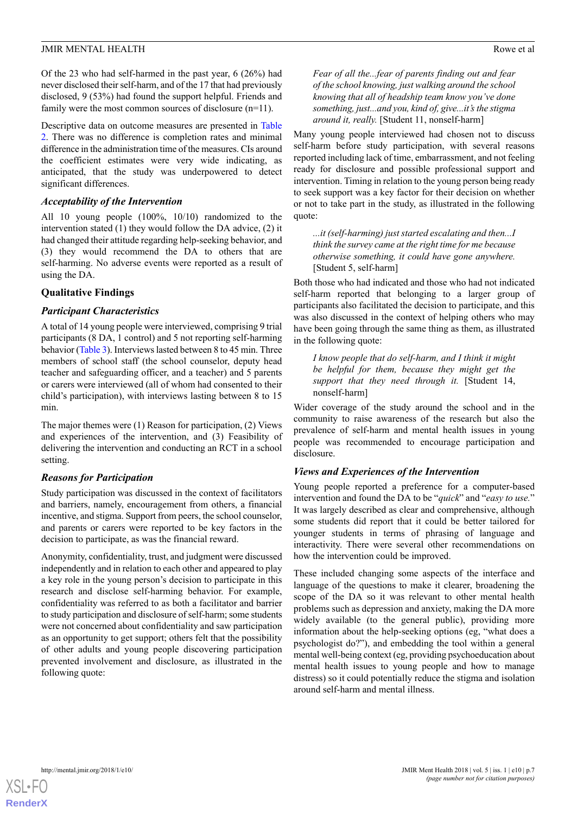Of the 23 who had self-harmed in the past year, 6 (26%) had never disclosed their self-harm, and of the 17 that had previously disclosed, 9 (53%) had found the support helpful. Friends and family were the most common sources of disclosure (n=11).

Descriptive data on outcome measures are presented in [Table](#page-5-1) [2.](#page-5-1) There was no difference is completion rates and minimal difference in the administration time of the measures. CIs around the coefficient estimates were very wide indicating, as anticipated, that the study was underpowered to detect significant differences.

#### *Acceptability of the Intervention*

All 10 young people (100%, 10/10) randomized to the intervention stated (1) they would follow the DA advice, (2) it had changed their attitude regarding help-seeking behavior, and (3) they would recommend the DA to others that are self-harming. No adverse events were reported as a result of using the DA.

#### **Qualitative Findings**

#### *Participant Characteristics*

A total of 14 young people were interviewed, comprising 9 trial participants (8 DA, 1 control) and 5 not reporting self-harming behavior [\(Table 3](#page-7-0)). Interviews lasted between 8 to 45 min. Three members of school staff (the school counselor, deputy head teacher and safeguarding officer, and a teacher) and 5 parents or carers were interviewed (all of whom had consented to their child's participation), with interviews lasting between 8 to 15 min.

The major themes were (1) Reason for participation, (2) Views and experiences of the intervention, and (3) Feasibility of delivering the intervention and conducting an RCT in a school setting.

#### *Reasons for Participation*

Study participation was discussed in the context of facilitators and barriers, namely, encouragement from others, a financial incentive, and stigma. Support from peers, the school counselor, and parents or carers were reported to be key factors in the decision to participate, as was the financial reward.

Anonymity, confidentiality, trust, and judgment were discussed independently and in relation to each other and appeared to play a key role in the young person's decision to participate in this research and disclose self-harming behavior. For example, confidentiality was referred to as both a facilitator and barrier to study participation and disclosure of self-harm; some students were not concerned about confidentiality and saw participation as an opportunity to get support; others felt that the possibility of other adults and young people discovering participation prevented involvement and disclosure, as illustrated in the following quote:

*Fear of all the...fear of parents finding out and fear of the school knowing, just walking around the school knowing that all of headship team know you've done something, just...and you, kind of, give...it's the stigma around it, really.* [Student 11, nonself-harm]

Many young people interviewed had chosen not to discuss self-harm before study participation, with several reasons reported including lack of time, embarrassment, and not feeling ready for disclosure and possible professional support and intervention. Timing in relation to the young person being ready to seek support was a key factor for their decision on whether or not to take part in the study, as illustrated in the following quote:

*...it (self-harming) just started escalating and then...I think the survey came at the right time for me because otherwise something, it could have gone anywhere.* [Student 5, self-harm]

Both those who had indicated and those who had not indicated self-harm reported that belonging to a larger group of participants also facilitated the decision to participate, and this was also discussed in the context of helping others who may have been going through the same thing as them, as illustrated in the following quote:

*I know people that do self-harm, and I think it might be helpful for them, because they might get the support that they need through it.* [Student 14, nonself-harm]

Wider coverage of the study around the school and in the community to raise awareness of the research but also the prevalence of self-harm and mental health issues in young people was recommended to encourage participation and disclosure.

## *Views and Experiences of the Intervention*

Young people reported a preference for a computer-based intervention and found the DA to be "*quick*" and "*easy to use.*" It was largely described as clear and comprehensive, although some students did report that it could be better tailored for younger students in terms of phrasing of language and interactivity. There were several other recommendations on how the intervention could be improved.

These included changing some aspects of the interface and language of the questions to make it clearer, broadening the scope of the DA so it was relevant to other mental health problems such as depression and anxiety, making the DA more widely available (to the general public), providing more information about the help-seeking options (eg, "what does a psychologist do?"), and embedding the tool within a general mental well-being context (eg, providing psychoeducation about mental health issues to young people and how to manage distress) so it could potentially reduce the stigma and isolation around self-harm and mental illness.

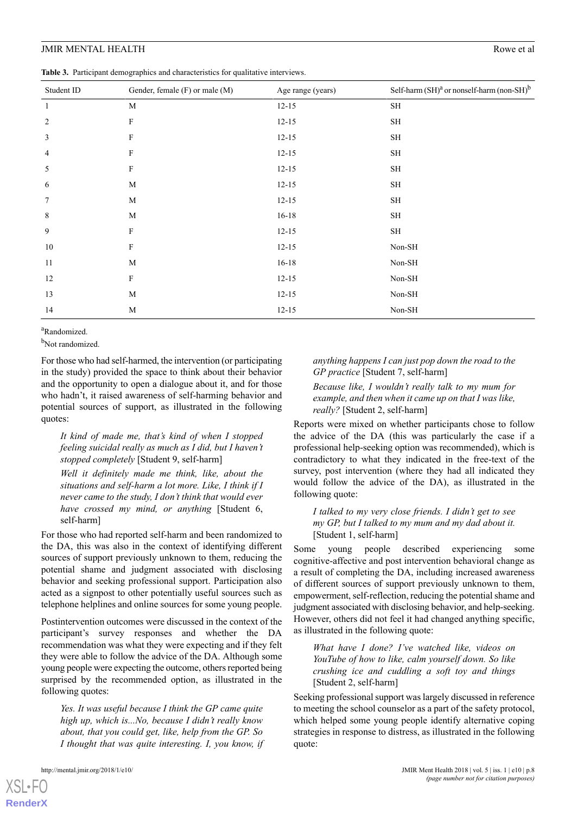#### JMIR MENTAL HEALTH Rowe et al.

<span id="page-7-0"></span>**Table 3.** Participant demographics and characteristics for qualitative interviews.

| Student ID     | Gender, female (F) or male (M) | Age range (years) | Self-harm $(SH)^a$ or nonself-harm (non-SH) <sup>b</sup> |
|----------------|--------------------------------|-------------------|----------------------------------------------------------|
| 1              | M                              | $12 - 15$         | SH                                                       |
| $\overline{c}$ | $\boldsymbol{\mathrm{F}}$      | $12 - 15$         | $\operatorname{SH}$                                      |
| 3              | F                              | $12 - 15$         | SH                                                       |
| 4              | F                              | $12 - 15$         | SН                                                       |
| 5              | $\boldsymbol{\mathrm{F}}$      | $12 - 15$         | SH                                                       |
| 6              | M                              | $12 - 15$         | SH                                                       |
| 7              | M                              | $12 - 15$         | SH                                                       |
| 8              | M                              | $16 - 18$         | SН                                                       |
| 9              | $\mathbf F$                    | $12 - 15$         | SH                                                       |
| 10             | $\boldsymbol{\mathrm{F}}$      | $12 - 15$         | Non-SH                                                   |
| 11             | M                              | $16 - 18$         | $Non-SH$                                                 |
| 12             | $\boldsymbol{\mathrm{F}}$      | $12 - 15$         | Non-SH                                                   |
| 13             | M                              | $12 - 15$         | Non-SH                                                   |

<sup>a</sup>Randomized.

b<sub>Not randomized.</sub>

For those who had self-harmed, the intervention (or participating in the study) provided the space to think about their behavior and the opportunity to open a dialogue about it, and for those who hadn't, it raised awareness of self-harming behavior and potential sources of support, as illustrated in the following quotes:

14 M 12-15 Non-SH

*It kind of made me, that's kind of when I stopped feeling suicidal really as much as I did, but I haven't stopped completely* [Student 9, self-harm]

*Well it definitely made me think, like, about the situations and self-harm a lot more. Like, I think if I never came to the study, I don't think that would ever have crossed my mind, or anything* [Student 6, self-harm]

For those who had reported self-harm and been randomized to the DA, this was also in the context of identifying different sources of support previously unknown to them, reducing the potential shame and judgment associated with disclosing behavior and seeking professional support. Participation also acted as a signpost to other potentially useful sources such as telephone helplines and online sources for some young people.

Postintervention outcomes were discussed in the context of the participant's survey responses and whether the DA recommendation was what they were expecting and if they felt they were able to follow the advice of the DA. Although some young people were expecting the outcome, others reported being surprised by the recommended option, as illustrated in the following quotes:

*Yes. It was useful because I think the GP came quite high up, which is...No, because I didn't really know about, that you could get, like, help from the GP. So I thought that was quite interesting. I, you know, if*

[XSL](http://www.w3.org/Style/XSL)•FO **[RenderX](http://www.renderx.com/)**

*anything happens I can just pop down the road to the GP practice* [Student 7, self-harm]

*Because like, I wouldn't really talk to my mum for example, and then when it came up on that I was like, really?* [Student 2, self-harm]

Reports were mixed on whether participants chose to follow the advice of the DA (this was particularly the case if a professional help-seeking option was recommended), which is contradictory to what they indicated in the free-text of the survey, post intervention (where they had all indicated they would follow the advice of the DA), as illustrated in the following quote:

*I talked to my very close friends. I didn't get to see my GP, but I talked to my mum and my dad about it.* [Student 1, self-harm]

Some young people described experiencing some cognitive-affective and post intervention behavioral change as a result of completing the DA, including increased awareness of different sources of support previously unknown to them, empowerment, self-reflection, reducing the potential shame and judgment associated with disclosing behavior, and help-seeking. However, others did not feel it had changed anything specific, as illustrated in the following quote:

*What have I done? I've watched like, videos on YouTube of how to like, calm yourself down. So like crushing ice and cuddling a soft toy and things* [Student 2, self-harm]

Seeking professional support was largely discussed in reference to meeting the school counselor as a part of the safety protocol, which helped some young people identify alternative coping strategies in response to distress, as illustrated in the following quote: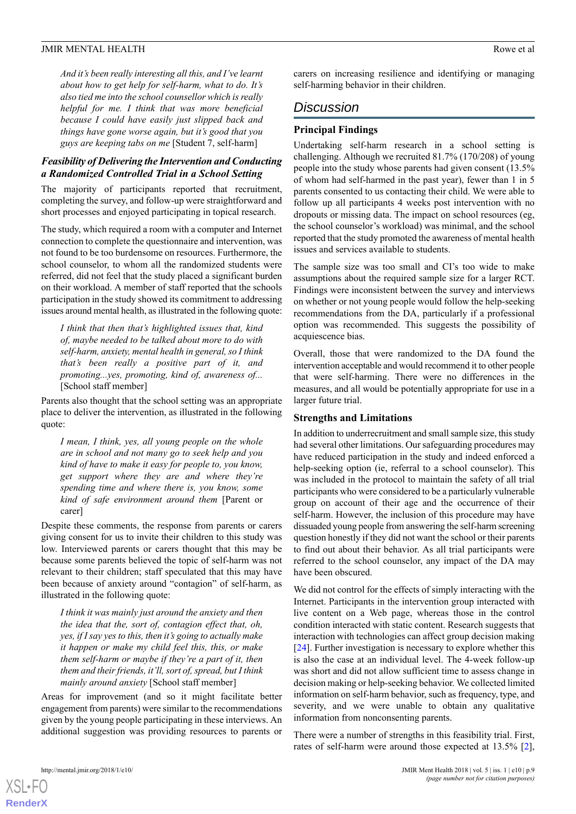*And it's been really interesting all this, and I've learnt about how to get help for self-harm, what to do. It's also tied me into the school counsellor which is really helpful for me. I think that was more beneficial because I could have easily just slipped back and things have gone worse again, but it's good that you guys are keeping tabs on me* [Student 7, self-harm]

## *Feasibility of Delivering the Intervention and Conducting a Randomized Controlled Trial in a School Setting*

The majority of participants reported that recruitment, completing the survey, and follow-up were straightforward and short processes and enjoyed participating in topical research.

The study, which required a room with a computer and Internet connection to complete the questionnaire and intervention, was not found to be too burdensome on resources. Furthermore, the school counselor, to whom all the randomized students were referred, did not feel that the study placed a significant burden on their workload. A member of staff reported that the schools participation in the study showed its commitment to addressing issues around mental health, as illustrated in the following quote:

*I think that then that's highlighted issues that, kind of, maybe needed to be talked about more to do with self-harm, anxiety, mental health in general, so I think that's been really a positive part of it, and promoting...yes, promoting, kind of, awareness of...* [School staff member]

Parents also thought that the school setting was an appropriate place to deliver the intervention, as illustrated in the following quote:

*I mean, I think, yes, all young people on the whole are in school and not many go to seek help and you kind of have to make it easy for people to, you know, get support where they are and where they're spending time and where there is, you know, some kind of safe environment around them* [Parent or carer]

Despite these comments, the response from parents or carers giving consent for us to invite their children to this study was low. Interviewed parents or carers thought that this may be because some parents believed the topic of self-harm was not relevant to their children; staff speculated that this may have been because of anxiety around "contagion" of self-harm, as illustrated in the following quote:

*I think it was mainly just around the anxiety and then the idea that the, sort of, contagion effect that, oh, yes, if I say yes to this, then it's going to actually make it happen or make my child feel this, this, or make them self-harm or maybe if they're a part of it, then them and their friends, it'll, sort of, spread, but I think mainly around anxiety* [School staff member]

Areas for improvement (and so it might facilitate better engagement from parents) were similar to the recommendations given by the young people participating in these interviews. An additional suggestion was providing resources to parents or carers on increasing resilience and identifying or managing self-harming behavior in their children.

# *Discussion*

#### **Principal Findings**

Undertaking self-harm research in a school setting is challenging. Although we recruited 81.7% (170/208) of young people into the study whose parents had given consent (13.5% of whom had self-harmed in the past year), fewer than 1 in 5 parents consented to us contacting their child. We were able to follow up all participants 4 weeks post intervention with no dropouts or missing data. The impact on school resources (eg, the school counselor's workload) was minimal, and the school reported that the study promoted the awareness of mental health issues and services available to students.

The sample size was too small and CI's too wide to make assumptions about the required sample size for a larger RCT. Findings were inconsistent between the survey and interviews on whether or not young people would follow the help-seeking recommendations from the DA, particularly if a professional option was recommended. This suggests the possibility of acquiescence bias.

Overall, those that were randomized to the DA found the intervention acceptable and would recommend it to other people that were self-harming. There were no differences in the measures, and all would be potentially appropriate for use in a larger future trial.

#### **Strengths and Limitations**

In addition to underrecruitment and small sample size, this study had several other limitations. Our safeguarding procedures may have reduced participation in the study and indeed enforced a help-seeking option (ie, referral to a school counselor). This was included in the protocol to maintain the safety of all trial participants who were considered to be a particularly vulnerable group on account of their age and the occurrence of their self-harm. However, the inclusion of this procedure may have dissuaded young people from answering the self-harm screening question honestly if they did not want the school or their parents to find out about their behavior. As all trial participants were referred to the school counselor, any impact of the DA may have been obscured.

We did not control for the effects of simply interacting with the Internet. Participants in the intervention group interacted with live content on a Web page, whereas those in the control condition interacted with static content. Research suggests that interaction with technologies can affect group decision making [[24\]](#page-11-5). Further investigation is necessary to explore whether this is also the case at an individual level. The 4-week follow-up was short and did not allow sufficient time to assess change in decision making or help-seeking behavior. We collected limited information on self-harm behavior, such as frequency, type, and severity, and we were unable to obtain any qualitative information from nonconsenting parents.

There were a number of strengths in this feasibility trial. First, rates of self-harm were around those expected at 13.5% [[2\]](#page-10-1),

[XSL](http://www.w3.org/Style/XSL)•FO **[RenderX](http://www.renderx.com/)**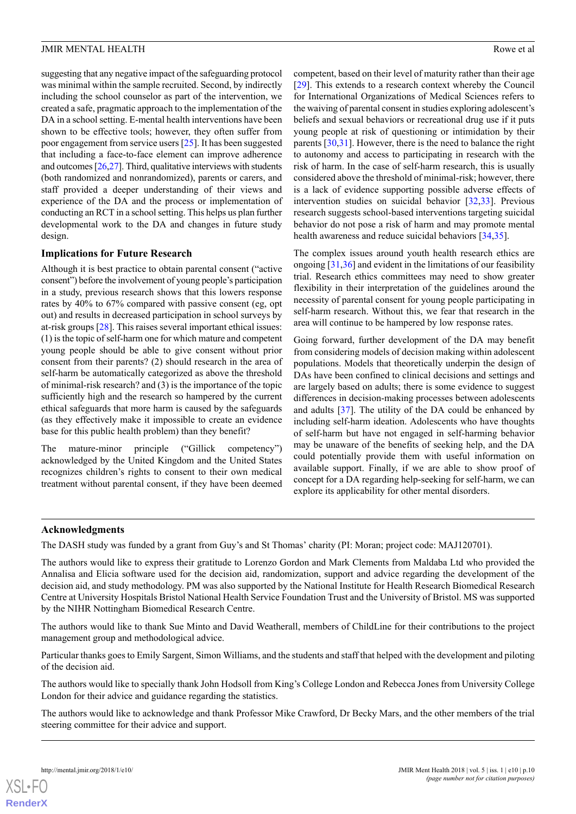suggesting that any negative impact of the safeguarding protocol was minimal within the sample recruited. Second, by indirectly including the school counselor as part of the intervention, we created a safe, pragmatic approach to the implementation of the DA in a school setting. E-mental health interventions have been shown to be effective tools; however, they often suffer from poor engagement from service users [\[25](#page-11-6)]. It has been suggested that including a face-to-face element can improve adherence and outcomes  $[26,27]$  $[26,27]$  $[26,27]$ . Third, qualitative interviews with students (both randomized and nonrandomized), parents or carers, and staff provided a deeper understanding of their views and experience of the DA and the process or implementation of conducting an RCT in a school setting. This helps us plan further developmental work to the DA and changes in future study design.

## **Implications for Future Research**

Although it is best practice to obtain parental consent ("active consent") before the involvement of young people's participation in a study, previous research shows that this lowers response rates by 40% to 67% compared with passive consent (eg, opt out) and results in decreased participation in school surveys by at-risk groups [[28\]](#page-11-9). This raises several important ethical issues: (1) is the topic of self-harm one for which mature and competent young people should be able to give consent without prior consent from their parents? (2) should research in the area of self-harm be automatically categorized as above the threshold of minimal-risk research? and (3) is the importance of the topic sufficiently high and the research so hampered by the current ethical safeguards that more harm is caused by the safeguards (as they effectively make it impossible to create an evidence base for this public health problem) than they benefit?

The mature-minor principle ("Gillick competency") acknowledged by the United Kingdom and the United States recognizes children's rights to consent to their own medical treatment without parental consent, if they have been deemed

competent, based on their level of maturity rather than their age [[29\]](#page-11-10). This extends to a research context whereby the Council for International Organizations of Medical Sciences refers to the waiving of parental consent in studies exploring adolescent's beliefs and sexual behaviors or recreational drug use if it puts young people at risk of questioning or intimidation by their parents [\[30](#page-11-11),[31\]](#page-11-12). However, there is the need to balance the right to autonomy and access to participating in research with the risk of harm. In the case of self-harm research, this is usually considered above the threshold of minimal-risk; however, there is a lack of evidence supporting possible adverse effects of intervention studies on suicidal behavior [\[32](#page-11-13),[33\]](#page-11-14). Previous research suggests school-based interventions targeting suicidal behavior do not pose a risk of harm and may promote mental health awareness and reduce suicidal behaviors [\[34](#page-11-15),[35\]](#page-11-16).

The complex issues around youth health research ethics are ongoing [[31](#page-11-12)[,36](#page-11-17)] and evident in the limitations of our feasibility trial. Research ethics committees may need to show greater flexibility in their interpretation of the guidelines around the necessity of parental consent for young people participating in self-harm research. Without this, we fear that research in the area will continue to be hampered by low response rates.

Going forward, further development of the DA may benefit from considering models of decision making within adolescent populations. Models that theoretically underpin the design of DAs have been confined to clinical decisions and settings and are largely based on adults; there is some evidence to suggest differences in decision-making processes between adolescents and adults [\[37](#page-11-18)]. The utility of the DA could be enhanced by including self-harm ideation. Adolescents who have thoughts of self-harm but have not engaged in self-harming behavior may be unaware of the benefits of seeking help, and the DA could potentially provide them with useful information on available support. Finally, if we are able to show proof of concept for a DA regarding help-seeking for self-harm, we can explore its applicability for other mental disorders.

#### **Acknowledgments**

The DASH study was funded by a grant from Guy's and St Thomas' charity (PI: Moran; project code: MAJ120701).

The authors would like to express their gratitude to Lorenzo Gordon and Mark Clements from Maldaba Ltd who provided the Annalisa and Elicia software used for the decision aid, randomization, support and advice regarding the development of the decision aid, and study methodology. PM was also supported by the National Institute for Health Research Biomedical Research Centre at University Hospitals Bristol National Health Service Foundation Trust and the University of Bristol. MS was supported by the NIHR Nottingham Biomedical Research Centre.

The authors would like to thank Sue Minto and David Weatherall, members of ChildLine for their contributions to the project management group and methodological advice.

Particular thanks goes to Emily Sargent, Simon Williams, and the students and staff that helped with the development and piloting of the decision aid.

The authors would like to specially thank John Hodsoll from King's College London and Rebecca Jones from University College London for their advice and guidance regarding the statistics.

The authors would like to acknowledge and thank Professor Mike Crawford, Dr Becky Mars, and the other members of the trial steering committee for their advice and support.

**[RenderX](http://www.renderx.com/)**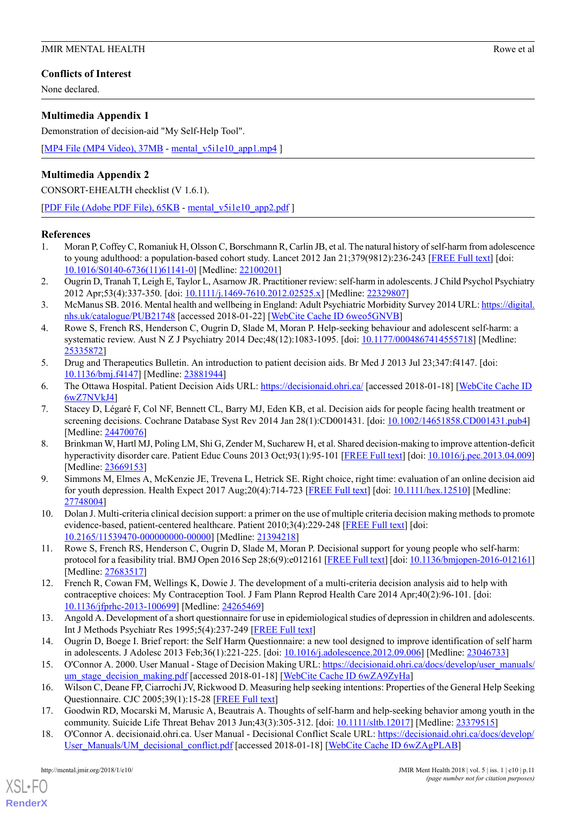## **Conflicts of Interest**

None declared.

## <span id="page-10-11"></span>**Multimedia Appendix 1**

Demonstration of decision-aid "My Self-Help Tool".

[[MP4 File \(MP4 Video\), 37MB](http://mental.jmir.org/article/downloadSuppFile/8098/53792) - [mental\\_v5i1e10\\_app1.mp4](http://mental.jmir.org/article/downloadSuppFile/8098/53792) ]

# **Multimedia Appendix 2**

CONSORT‐EHEALTH checklist (V 1.6.1).

[[PDF File \(Adobe PDF File\), 65KB](http://mental.jmir.org/article/downloadSuppFile/8098/53794) - [mental\\_v5i1e10\\_app2.pdf](http://mental.jmir.org/article/downloadSuppFile/8098/53794) ]

## <span id="page-10-0"></span>**References**

- <span id="page-10-1"></span>1. Moran P, Coffey C, Romaniuk H, Olsson C, Borschmann R, Carlin JB, et al. The natural history of self-harm from adolescence to young adulthood: a population-based cohort study. Lancet 2012 Jan 21;379(9812):236-243 [\[FREE Full text\]](http://linkinghub.elsevier.com/retrieve/pii/S0140-6736(11)61141-0) [doi: [10.1016/S0140-6736\(11\)61141-0\]](http://dx.doi.org/10.1016/S0140-6736(11)61141-0) [Medline: [22100201\]](http://www.ncbi.nlm.nih.gov/entrez/query.fcgi?cmd=Retrieve&db=PubMed&list_uids=22100201&dopt=Abstract)
- <span id="page-10-2"></span>2. Ougrin D, Tranah T, Leigh E, Taylor L, Asarnow JR. Practitioner review: self-harm in adolescents. J Child Psychol Psychiatry 2012 Apr;53(4):337-350. [doi: [10.1111/j.1469-7610.2012.02525.x\]](http://dx.doi.org/10.1111/j.1469-7610.2012.02525.x) [Medline: [22329807](http://www.ncbi.nlm.nih.gov/entrez/query.fcgi?cmd=Retrieve&db=PubMed&list_uids=22329807&dopt=Abstract)]
- <span id="page-10-3"></span>3. McManus SB. 2016. Mental health and wellbeing in England: Adult Psychiatric Morbidity Survey 2014 URL: [https://digital.](https://digital.nhs.uk/catalogue/PUB21748) [nhs.uk/catalogue/PUB21748](https://digital.nhs.uk/catalogue/PUB21748) [accessed 2018-01-22] [\[WebCite Cache ID 6weo5GNVB\]](http://www.webcitation.org/6weo5GNVB)
- <span id="page-10-4"></span>4. Rowe S, French RS, Henderson C, Ougrin D, Slade M, Moran P. Help-seeking behaviour and adolescent self-harm: a systematic review. Aust N Z J Psychiatry 2014 Dec;48(12):1083-1095. [doi: [10.1177/0004867414555718\]](http://dx.doi.org/10.1177/0004867414555718) [Medline: [25335872](http://www.ncbi.nlm.nih.gov/entrez/query.fcgi?cmd=Retrieve&db=PubMed&list_uids=25335872&dopt=Abstract)]
- <span id="page-10-6"></span><span id="page-10-5"></span>5. Drug and Therapeutics Bulletin. An introduction to patient decision aids. Br Med J 2013 Jul 23;347:f4147. [doi: [10.1136/bmj.f4147\]](http://dx.doi.org/10.1136/bmj.f4147) [Medline: [23881944](http://www.ncbi.nlm.nih.gov/entrez/query.fcgi?cmd=Retrieve&db=PubMed&list_uids=23881944&dopt=Abstract)]
- 6. The Ottawa Hospital. Patient Decision Aids URL: <https://decisionaid.ohri.ca/> [accessed 2018-01-18] [[WebCite Cache ID](http://www.webcitation.org/6wZ7NVkJ4) [6wZ7NVkJ4](http://www.webcitation.org/6wZ7NVkJ4)]
- <span id="page-10-7"></span>7. Stacey D, Légaré F, Col NF, Bennett CL, Barry MJ, Eden KB, et al. Decision aids for people facing health treatment or screening decisions. Cochrane Database Syst Rev 2014 Jan 28(1):CD001431. [doi: [10.1002/14651858.CD001431.pub4\]](http://dx.doi.org/10.1002/14651858.CD001431.pub4) [Medline: [24470076](http://www.ncbi.nlm.nih.gov/entrez/query.fcgi?cmd=Retrieve&db=PubMed&list_uids=24470076&dopt=Abstract)]
- <span id="page-10-8"></span>8. Brinkman W, Hartl MJ, Poling LM, Shi G, Zender M, Sucharew H, et al. Shared decision-making to improve attention-deficit hyperactivity disorder care. Patient Educ Couns 2013 Oct;93(1):95-101 [[FREE Full text\]](http://europepmc.org/abstract/MED/23669153) [doi: [10.1016/j.pec.2013.04.009](http://dx.doi.org/10.1016/j.pec.2013.04.009)] [Medline: [23669153](http://www.ncbi.nlm.nih.gov/entrez/query.fcgi?cmd=Retrieve&db=PubMed&list_uids=23669153&dopt=Abstract)]
- <span id="page-10-10"></span><span id="page-10-9"></span>9. Simmons M, Elmes A, McKenzie JE, Trevena L, Hetrick SE. Right choice, right time: evaluation of an online decision aid for youth depression. Health Expect 2017 Aug;20(4):714-723 [\[FREE Full text\]](http://europepmc.org/abstract/MED/27748004) [doi: [10.1111/hex.12510\]](http://dx.doi.org/10.1111/hex.12510) [Medline: [27748004](http://www.ncbi.nlm.nih.gov/entrez/query.fcgi?cmd=Retrieve&db=PubMed&list_uids=27748004&dopt=Abstract)]
- <span id="page-10-12"></span>10. Dolan J. Multi-criteria clinical decision support: a primer on the use of multiple criteria decision making methods to promote evidence-based, patient-centered healthcare. Patient 2010;3(4):229-248 [[FREE Full text](http://europepmc.org/abstract/MED/21394218)] [doi: [10.2165/11539470-000000000-00000](http://dx.doi.org/10.2165/11539470-000000000-00000)] [Medline: [21394218\]](http://www.ncbi.nlm.nih.gov/entrez/query.fcgi?cmd=Retrieve&db=PubMed&list_uids=21394218&dopt=Abstract)
- <span id="page-10-13"></span>11. Rowe S, French RS, Henderson C, Ougrin D, Slade M, Moran P. Decisional support for young people who self-harm: protocol for a feasibility trial. BMJ Open 2016 Sep 28;6(9):e012161 [[FREE Full text\]](http://bmjopen.bmj.com/cgi/pmidlookup?view=long&pmid=27683517) [doi: [10.1136/bmjopen-2016-012161\]](http://dx.doi.org/10.1136/bmjopen-2016-012161) [Medline: [27683517](http://www.ncbi.nlm.nih.gov/entrez/query.fcgi?cmd=Retrieve&db=PubMed&list_uids=27683517&dopt=Abstract)]
- <span id="page-10-15"></span><span id="page-10-14"></span>12. French R, Cowan FM, Wellings K, Dowie J. The development of a multi-criteria decision analysis aid to help with contraceptive choices: My Contraception Tool. J Fam Plann Reprod Health Care 2014 Apr;40(2):96-101. [doi: [10.1136/jfprhc-2013-100699\]](http://dx.doi.org/10.1136/jfprhc-2013-100699) [Medline: [24265469\]](http://www.ncbi.nlm.nih.gov/entrez/query.fcgi?cmd=Retrieve&db=PubMed&list_uids=24265469&dopt=Abstract)
- <span id="page-10-16"></span>13. Angold A. Development of a short questionnaire for use in epidemiological studies of depression in children and adolescents. Int J Methods Psychiatr Res 1995;5(4):237-249 [\[FREE Full text](http://psycnet.apa.org/record/1996-02633-002)]
- <span id="page-10-17"></span>14. Ougrin D, Boege I. Brief report: the Self Harm Questionnaire: a new tool designed to improve identification of self harm in adolescents. J Adolesc 2013 Feb;36(1):221-225. [doi: [10.1016/j.adolescence.2012.09.006](http://dx.doi.org/10.1016/j.adolescence.2012.09.006)] [Medline: [23046733\]](http://www.ncbi.nlm.nih.gov/entrez/query.fcgi?cmd=Retrieve&db=PubMed&list_uids=23046733&dopt=Abstract)
- <span id="page-10-18"></span>15. O'Connor A. 2000. User Manual - Stage of Decision Making URL: [https://decisionaid.ohri.ca/docs/develop/user\\_manuals/](https://decisionaid.ohri.ca/docs/develop/user_manuals/um_stage_decision_making.pdf) [um\\_stage\\_decision\\_making.pdf](https://decisionaid.ohri.ca/docs/develop/user_manuals/um_stage_decision_making.pdf) [accessed 2018-01-18] [[WebCite Cache ID 6wZA9ZyHa\]](http://www.webcitation.org/6wZA9ZyHa)
- 16. Wilson C, Deane FP, Ciarrochi JV, Rickwood D. Measuring help seeking intentions: Properties of the General Help Seeking Questionnaire. CJC 2005;39(1):15-28 [[FREE Full text](https://search.proquest.com/docview/195809895?accountid=14511)]
- 17. Goodwin RD, Mocarski M, Marusic A, Beautrais A. Thoughts of self-harm and help-seeking behavior among youth in the community. Suicide Life Threat Behav 2013 Jun;43(3):305-312. [doi: [10.1111/sltb.12017\]](http://dx.doi.org/10.1111/sltb.12017) [Medline: [23379515\]](http://www.ncbi.nlm.nih.gov/entrez/query.fcgi?cmd=Retrieve&db=PubMed&list_uids=23379515&dopt=Abstract)
- 18. O'Connor A. decisionaid.ohri.ca. User Manual Decisional Conflict Scale URL: [https://decisionaid.ohri.ca/docs/develop/](https://decisionaid.ohri.ca/docs/develop/User_Manuals/UM_decisional_conflict.pdf) [User\\_Manuals/UM\\_decisional\\_conflict.pdf](https://decisionaid.ohri.ca/docs/develop/User_Manuals/UM_decisional_conflict.pdf) [accessed 2018-01-18] [[WebCite Cache ID 6wZAgPLAB](http://www.webcitation.org/6wZAgPLAB)]

[XSL](http://www.w3.org/Style/XSL)•FO **[RenderX](http://www.renderx.com/)**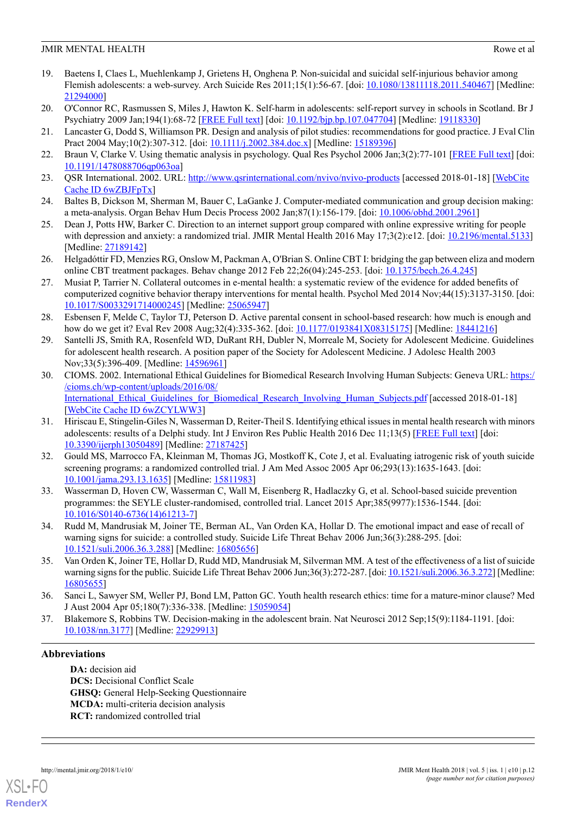## JMIR MENTAL HEALTH ROW EXAMPLE 2012 12:00 FOR THE ROW CONTROL ROW CONTROL ROW CONTROL ROW CONTROL ROW CONTROL ROW CONTROL ROW CONTROL ROW CONTROL ROW CONTROL ROW CONTROL ROW CONTROL ROW CONTROL ROW CONTROL ROW CONTROL ROW

- <span id="page-11-0"></span>19. Baetens I, Claes L, Muehlenkamp J, Grietens H, Onghena P. Non-suicidal and suicidal self-injurious behavior among Flemish adolescents: a web-survey. Arch Suicide Res 2011;15(1):56-67. [doi: [10.1080/13811118.2011.540467\]](http://dx.doi.org/10.1080/13811118.2011.540467) [Medline: [21294000](http://www.ncbi.nlm.nih.gov/entrez/query.fcgi?cmd=Retrieve&db=PubMed&list_uids=21294000&dopt=Abstract)]
- <span id="page-11-2"></span><span id="page-11-1"></span>20. O'Connor RC, Rasmussen S, Miles J, Hawton K. Self-harm in adolescents: self-report survey in schools in Scotland. Br J Psychiatry 2009 Jan;194(1):68-72 [\[FREE Full text\]](http://bjp.rcpsych.org/cgi/pmidlookup?view=long&pmid=19118330) [doi: [10.1192/bjp.bp.107.047704](http://dx.doi.org/10.1192/bjp.bp.107.047704)] [Medline: [19118330\]](http://www.ncbi.nlm.nih.gov/entrez/query.fcgi?cmd=Retrieve&db=PubMed&list_uids=19118330&dopt=Abstract)
- <span id="page-11-3"></span>21. Lancaster G, Dodd S, Williamson PR. Design and analysis of pilot studies: recommendations for good practice. J Eval Clin Pract 2004 May;10(2):307-312. [doi: [10.1111/j.2002.384.doc.x\]](http://dx.doi.org/10.1111/j.2002.384.doc.x) [Medline: [15189396](http://www.ncbi.nlm.nih.gov/entrez/query.fcgi?cmd=Retrieve&db=PubMed&list_uids=15189396&dopt=Abstract)]
- <span id="page-11-4"></span>22. Braun V, Clarke V. Using thematic analysis in psychology. Qual Res Psychol 2006 Jan;3(2):77-101 [[FREE Full text](http://dx.doi.org/10.1191/1478088706qp063oa)] [doi: [10.1191/1478088706qp063oa\]](http://dx.doi.org/10.1191/1478088706qp063oa)
- <span id="page-11-5"></span>23. QSR International. 2002. URL: http://www.gsrinternational.com/nvivo/nvivo-products [accessed 2018-01-18] [\[WebCite](http://www.webcitation.org/6wZBJFpTx) [Cache ID 6wZBJFpTx\]](http://www.webcitation.org/6wZBJFpTx)
- <span id="page-11-6"></span>24. Baltes B, Dickson M, Sherman M, Bauer C, LaGanke J. Computer-mediated communication and group decision making: a meta-analysis. Organ Behav Hum Decis Process 2002 Jan;87(1):156-179. [doi: [10.1006/obhd.2001.2961](http://dx.doi.org/10.1006/obhd.2001.2961)]
- <span id="page-11-7"></span>25. Dean J, Potts HW, Barker C. Direction to an internet support group compared with online expressive writing for people with depression and anxiety: a randomized trial. JMIR Mental Health 2016 May 17;3(2):e12. [doi: [10.2196/mental.5133\]](http://dx.doi.org/10.2196/mental.5133) [Medline: [27189142](http://www.ncbi.nlm.nih.gov/entrez/query.fcgi?cmd=Retrieve&db=PubMed&list_uids=27189142&dopt=Abstract)]
- <span id="page-11-8"></span>26. Helgadóttir FD, Menzies RG, Onslow M, Packman A, O'Brian S. Online CBT I: bridging the gap between eliza and modern online CBT treatment packages. Behav change 2012 Feb 22;26(04):245-253. [doi: [10.1375/bech.26.4.245](http://dx.doi.org/10.1375/bech.26.4.245)]
- <span id="page-11-9"></span>27. Musiat P, Tarrier N. Collateral outcomes in e-mental health: a systematic review of the evidence for added benefits of computerized cognitive behavior therapy interventions for mental health. Psychol Med 2014 Nov;44(15):3137-3150. [doi: [10.1017/S0033291714000245](http://dx.doi.org/10.1017/S0033291714000245)] [Medline: [25065947](http://www.ncbi.nlm.nih.gov/entrez/query.fcgi?cmd=Retrieve&db=PubMed&list_uids=25065947&dopt=Abstract)]
- <span id="page-11-10"></span>28. Esbensen F, Melde C, Taylor TJ, Peterson D. Active parental consent in school-based research: how much is enough and how do we get it? Eval Rev 2008 Aug;32(4):335-362. [doi: [10.1177/0193841X08315175](http://dx.doi.org/10.1177/0193841X08315175)] [Medline: [18441216\]](http://www.ncbi.nlm.nih.gov/entrez/query.fcgi?cmd=Retrieve&db=PubMed&list_uids=18441216&dopt=Abstract)
- <span id="page-11-11"></span>29. Santelli JS, Smith RA, Rosenfeld WD, DuRant RH, Dubler N, Morreale M, Society for Adolescent Medicine. Guidelines for adolescent health research. A position paper of the Society for Adolescent Medicine. J Adolesc Health 2003 Nov;33(5):396-409. [Medline: [14596961](http://www.ncbi.nlm.nih.gov/entrez/query.fcgi?cmd=Retrieve&db=PubMed&list_uids=14596961&dopt=Abstract)]
- <span id="page-11-12"></span>30. CIOMS. 2002. International Ethical Guidelines for Biomedical Research Involving Human Subjects: Geneva URL: [https:/](https://cioms.ch/wp-content/uploads/2016/08/International_Ethical_Guidelines_for_Biomedical_Research_Involving_Human_Subjects.pdf) [/cioms.ch/wp-content/uploads/2016/08/](https://cioms.ch/wp-content/uploads/2016/08/International_Ethical_Guidelines_for_Biomedical_Research_Involving_Human_Subjects.pdf) International Ethical Guidelines for Biomedical Research Involving Human Subjects.pdf [accessed 2018-01-18] [[WebCite Cache ID 6wZCYLWW3\]](http://www.webcitation.org/6wZCYLWW3)
- <span id="page-11-13"></span>31. Hiriscau E, Stingelin-Giles N, Wasserman D, Reiter-Theil S. Identifying ethical issues in mental health research with minors adolescents: results of a Delphi study. Int J Environ Res Public Health 2016 Dec 11;13(5) [\[FREE Full text\]](http://www.mdpi.com/resolver?pii=ijerph13050489) [doi: [10.3390/ijerph13050489](http://dx.doi.org/10.3390/ijerph13050489)] [Medline: [27187425\]](http://www.ncbi.nlm.nih.gov/entrez/query.fcgi?cmd=Retrieve&db=PubMed&list_uids=27187425&dopt=Abstract)
- <span id="page-11-14"></span>32. Gould MS, Marrocco FA, Kleinman M, Thomas JG, Mostkoff K, Cote J, et al. Evaluating iatrogenic risk of youth suicide screening programs: a randomized controlled trial. J Am Med Assoc 2005 Apr 06;293(13):1635-1643. [doi: [10.1001/jama.293.13.1635\]](http://dx.doi.org/10.1001/jama.293.13.1635) [Medline: [15811983](http://www.ncbi.nlm.nih.gov/entrez/query.fcgi?cmd=Retrieve&db=PubMed&list_uids=15811983&dopt=Abstract)]
- <span id="page-11-16"></span><span id="page-11-15"></span>33. Wasserman D, Hoven CW, Wasserman C, Wall M, Eisenberg R, Hadlaczky G, et al. School-based suicide prevention programmes: the SEYLE cluster-randomised, controlled trial. Lancet 2015 Apr;385(9977):1536-1544. [doi: [10.1016/S0140-6736\(14\)61213-7\]](http://dx.doi.org/10.1016/S0140-6736(14)61213-7)
- <span id="page-11-17"></span>34. Rudd M, Mandrusiak M, Joiner TE, Berman AL, Van Orden KA, Hollar D. The emotional impact and ease of recall of warning signs for suicide: a controlled study. Suicide Life Threat Behav 2006 Jun;36(3):288-295. [doi: [10.1521/suli.2006.36.3.288](http://dx.doi.org/10.1521/suli.2006.36.3.288)] [Medline: [16805656\]](http://www.ncbi.nlm.nih.gov/entrez/query.fcgi?cmd=Retrieve&db=PubMed&list_uids=16805656&dopt=Abstract)
- <span id="page-11-18"></span>35. Van Orden K, Joiner TE, Hollar D, Rudd MD, Mandrusiak M, Silverman MM. A test of the effectiveness of a list of suicide warning signs for the public. Suicide Life Threat Behav 2006 Jun;36(3):272-287. [doi: [10.1521/suli.2006.36.3.272\]](http://dx.doi.org/10.1521/suli.2006.36.3.272) [Medline: [16805655](http://www.ncbi.nlm.nih.gov/entrez/query.fcgi?cmd=Retrieve&db=PubMed&list_uids=16805655&dopt=Abstract)]
- 36. Sanci L, Sawyer SM, Weller PJ, Bond LM, Patton GC. Youth health research ethics: time for a mature-minor clause? Med J Aust 2004 Apr 05;180(7):336-338. [Medline: [15059054](http://www.ncbi.nlm.nih.gov/entrez/query.fcgi?cmd=Retrieve&db=PubMed&list_uids=15059054&dopt=Abstract)]
- 37. Blakemore S, Robbins TW. Decision-making in the adolescent brain. Nat Neurosci 2012 Sep;15(9):1184-1191. [doi: [10.1038/nn.3177](http://dx.doi.org/10.1038/nn.3177)] [Medline: [22929913](http://www.ncbi.nlm.nih.gov/entrez/query.fcgi?cmd=Retrieve&db=PubMed&list_uids=22929913&dopt=Abstract)]

# **Abbreviations**

**DA:** decision aid **DCS:** Decisional Conflict Scale **GHSQ:** General Help-Seeking Questionnaire **MCDA:** multi-criteria decision analysis **RCT:** randomized controlled trial